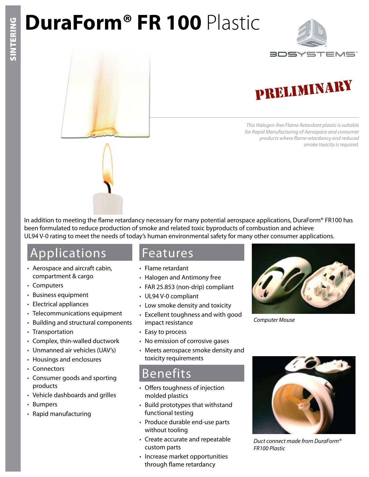# **DuraForm® FR 100** Plastic



## PRELIMINARY

*This Halogen-free Flame Retardant plastic is suitable for Rapid Manufacturing of Aerospace and consumer products where flame retardancy and reduced smoke toxicity is required.*

In addition to meeting the flame retardancy necessary for many potential aerospace applications, DuraForm® FR100 has been formulated to reduce production of smoke and related toxic byproducts of combustion and achieve UL94 V-0 rating to meet the needs of today's human environmental safety for many other consumer applications.

### Applications

- Aerospace and aircraft cabin, compartment & cargo
- Computers
- Business equipment
- Electrical appliances
- Telecommunications equipment
- Building and structural components
- Transportation
- Complex, thin-walled ductwork
- Unmanned air vehicles (UAV's)
- Housings and enclosures
- Connectors
- Consumer goods and sporting products
- Vehicle dashboards and grilles
- Bumpers
- Rapid manufacturing

#### Features

- Flame retardant
- Halogen and Antimony free
- FAR 25.853 (non-drip) compliant
- UL94 V-0 compliant
- Low smoke density and toxicity
- Excellent toughness and with good impact resistance
- Easy to process
- No emission of corrosive gases
- Meets aerospace smoke density and toxicity requirements

### Benefits

- Offers toughness of injection molded plastics
- Build prototypes that withstand functional testing
- Produce durable end-use parts without tooling
- Create accurate and repeatable custom parts
- Increase market opportunities through flame retardancy



*Computer Mouse*



*Duct connect made from DuraForm® FR100 Plastic*